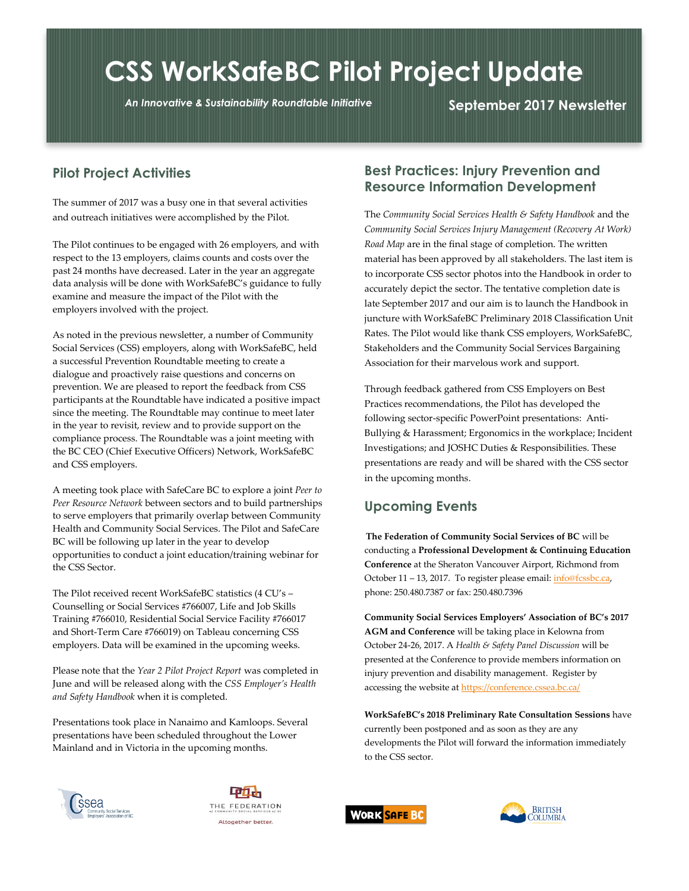# **CSS WorkSafeBC Pilot Project Update**

*An Innovative & Sustainability Roundtable Initiative* **September 2017 Newsletter**

## **Pilot Project Activities**

The summer of 2017 was a busy one in that several activities and outreach initiatives were accomplished by the Pilot.

The Pilot continues to be engaged with 26 employers, and with respect to the 13 employers, claims counts and costs over the past 24 months have decreased. Later in the year an aggregate data analysis will be done with WorkSafeBC's guidance to fully examine and measure the impact of the Pilot with the employers involved with the project.

As noted in the previous newsletter, a number of Community Social Services (CSS) employers, along with WorkSafeBC, held a successful Prevention Roundtable meeting to create a dialogue and proactively raise questions and concerns on prevention. We are pleased to report the feedback from CSS participants at the Roundtable have indicated a positive impact since the meeting. The Roundtable may continue to meet later in the year to revisit, review and to provide support on the compliance process. The Roundtable was a joint meeting with the BC CEO (Chief Executive Officers) Network, WorkSafeBC and CSS employers.

A meeting took place with SafeCare BC to explore a joint *Peer to Peer Resource Network* between sectors and to build partnerships to serve employers that primarily overlap between Community Health and Community Social Services. The Pilot and SafeCare BC will be following up later in the year to develop opportunities to conduct a joint education/training webinar for the CSS Sector.

The Pilot received recent WorkSafeBC statistics (4 CU's – Counselling or Social Services #766007, Life and Job Skills Training #766010, Residential Social Service Facility #766017 and Short-Term Care #766019) on Tableau concerning CSS employers. Data will be examined in the upcoming weeks.

Please note that the *Year 2 Pilot Project Report* was completed in June and will be released along with the *CSS Employer's Health and Safety Handbook* when it is completed.

Presentations took place in Nanaimo and Kamloops. Several presentations have been scheduled throughout the Lower Mainland and in Victoria in the upcoming months.

#### **Best Practices: Injury Prevention and Resource Information Development**

The *Community Social Services Health & Safety Handbook* and the *Community Social Services Injury Management (Recovery At Work) Road Map* are in the final stage of completion. The written material has been approved by all stakeholders. The last item is to incorporate CSS sector photos into the Handbook in order to accurately depict the sector. The tentative completion date is late September 2017 and our aim is to launch the Handbook in juncture with WorkSafeBC Preliminary 2018 Classification Unit Rates. The Pilot would like thank CSS employers, WorkSafeBC, Stakeholders and the Community Social Services Bargaining Association for their marvelous work and support.

Through feedback gathered from CSS Employers on Best Practices recommendations, the Pilot has developed the following sector-specific PowerPoint presentations: Anti-Bullying & Harassment; Ergonomics in the workplace; Incident Investigations; and JOSHC Duties & Responsibilities. These presentations are ready and will be shared with the CSS sector in the upcoming months.

#### **Upcoming Events**

 **The Federation of Community Social Services of BC** will be conducting a **Professional Development & Continuing Education Conference** at the Sheraton Vancouver Airport, Richmond from October 11 – 13, 2017. To register please email: *info@fcssbc.ca*, phone: 250.480.7387 or fax: 250.480.7396

**Community Social Services Employers' Association of BC's 2017 AGM and Conference** will be taking place in Kelowna from October 24-26, 2017. A *Health & Safety Panel Discussion* will be presented at the Conference to provide members information on injury prevention and disability management. Register by accessing the website a[t https://conference.cssea.bc.ca/](https://conference.cssea.bc.ca/)

**WorkSafeBC's 2018 Preliminary Rate Consultation Sessions** have currently been postponed and as soon as they are any developments the Pilot will forward the information immediately to the CSS sector.